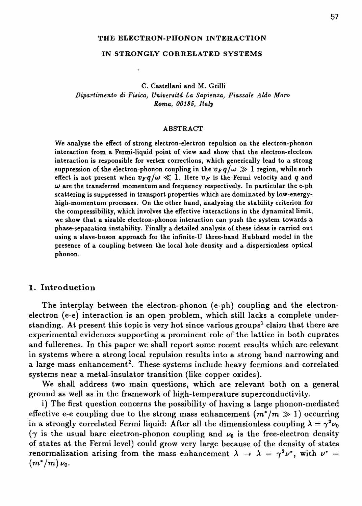#### **THE ELECTRON-PHONON INTERACTION**

#### **IN STRONGLY CORRELATED SYSTEMS**

**C. Castellani and M. Grilli** *Dipariimento di Fisica, Universitd La Sapienza, Piazzale Aldo Moro Roma, 00185, Italy*

#### **ABSTRACT**

**We analyze the effect of strong electron-electron repulsion on the electron-phonon interaction from a Fermi-liquid point of view and show that the electron-electron interaction is responsible for vertex corrections, which generically lead to a strong** suppression of the electron-phonon coupling in the  $v_Fq/\omega \gg 1$  region, while such effect is not present when  $v_Fq/\omega \ll 1$ . Here  $v_F$  is the Fermi velocity and q and  $\omega$  are the transferred momentum and frequency respectively. In particular the e-ph **scattering is suppressed in transport properties which are dominated by low-energyhigh-momentum processes. On the other hand, analyzing the stability criterion for the compressibility, which involves the effective interactions in the dynamical limit, we show that a sizable electron-phonon interaction can push the system towards a phase-separation instability. Finally a detailed analysis of these ideas is carried out using a slave-boson approach for the infinite-U three-band Hubbard model in the presence of a coupling between the local hole density and a dispersionless optical phonon.**

## 1. Introduction

The interplay between the electron-phonon (e-ph) coupling and the electronelectron (e-e) interaction is an open problem, which still lacks a complete understanding. At present this topic is very hot since various groups<sup>1</sup> claim that there are experimental evidences supporting a prominent role of the lattice in both cuprates and fullerenes. In this paper we shall report some recent results which are relevant in systems where a strong local repulsion results into a strong band narrowing and a large mass enhancement<sup>2</sup>. These systems include heavy fermions and correlated systems near a metal-insulator transition (like copper oxides).

We shall address two main questions, which are relevant both on a general ground as well as in the framework of high-temperature superconductivity.

i) The first question concerns the possibility of having a large phonon-mediated effective e-e coupling due to the strong mass enhancement  $(m^*/m \gg 1)$  occurring in a strongly correlated Fermi liquid: After all the dimensionless coupling  $\lambda = \gamma^2 \nu_0$  $(\gamma$  is the usual bare electron-phonon coupling and  $\nu_0$  is the free-electron density of states at the Fermi level) could grow very large because of the density of states renormalization arising from the mass enhancement  $\lambda \rightarrow \lambda = \gamma^2 \nu^*$ , with  $\nu^* =$  $(m^*/m) \nu_0$ .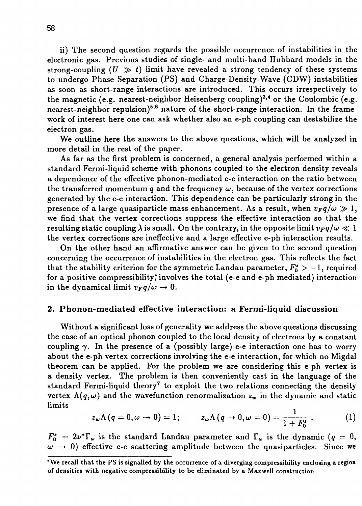ii) The second question regards the possible occurrence of instabilities in the electronic gas. Previous studies of single- and multi-band Hubbard models in the strong-coupling  $(U \gg t)$  limit have revealed a strong tendency of these systems to undergo Phase Separation (PS) and Charge-Density-Wave (CDW) instabilities as soon as short-range interactions are introduced. This occurs irrespectively to the magnetic (e.g. nearest-neighbor Heisenberg coupling)<sup>3,4</sup> or the Coulombic (e.g. nearest-neighbor repulsion)<sup>5,6</sup> nature of the short-range interaction. In the framework of interest here one can ask whether also an e-ph coupling can destabilize the electron gas.

We outline here the answers to the above questions, which will be analyzed in more detail in the rest of the paper.

As far as the first problem is concerned, a general analysis performed within a standard Fermi-liquid scheme with phonons coupled to the electron density reveals a dependence of the effective phonon-mediated e-e interaction on the ratio between the transferred momentum  $q$  and the frequency  $\omega$ , because of the vertex corrections generated by the e-e interaction. This dependence can be particularly strong in the presence of a large quasiparticle mass enhancement. As a result, when  $v_Fq/\omega \gg 1$ , we find that the vertex corrections suppress the effective interaction so that the resulting static coupling  $\lambda$  is small. On the contrary, in the opposite limit  $v_F q/\omega \ll 1$ the vertex corrections are ineffective and a large effective e-ph interaction results.

On the other hand an affirmative answer can be given to the second question concerning the occurrence of instabilities in the electron gas. This reflects the fact that the stability criterion for the symmetric Landau parameter,  $F_0^* > -1$ , required for a positive compressibility,\* involves the total (e-e and e-ph mediated) interaction in the dynamical limit  $v_Fq/\omega \rightarrow 0$ .

## **2. Phonon-mediated effective interaction: a Fermi-liquid** discussion

Without a significant loss of generality we address the above questions discussing the case of an optical phonon coupled to the local density of electrons by a constant coupling  $\gamma$ . In the presence of a (possibly large) e-e interaction one has to worry about the e-ph vertex corrections involving the e-e interaction, for which no Migdal theorem can be applied. For the problem we are considering this e-ph vertex is a density vertex. The problem is then conveniently cast in the language of the standard Fermi-liquid theory<sup>7</sup> to exploit the two relations connecting the density vertex  $\Lambda(q,\omega)$  and the wavefunction renormalization  $z_w$  in the dynamic and static limits

$$
z_{\omega}\Lambda(q=0,\omega\to 0)=1;\qquad z_{\omega}\Lambda(q\to 0,\omega=0)=\frac{1}{1+F_0^*}\ .\qquad \qquad (1)
$$

 $F_0^* = 2\nu^*\Gamma_\omega$  is the standard Landau parameter and  $\Gamma_\omega$  is the dynamic (q = 0,  $\omega \rightarrow 0$ ) effective e-e scattering amplitude between the quasiparticles. Since we

<sup>\*</sup>We recall that the PS is signalled by the occurrence of a diverging compressibility enclosing a region of densities with negative compressibility to be eliminated by a Maxwell construction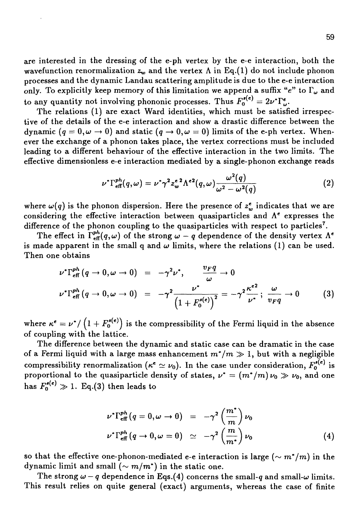are interested in the dressing of the e-ph vertex by the e-e interaction, both the wavefunction renormalization  $z_w$  and the vertex  $\Lambda$  in Eq.(1) do not include phonon processes and the dynamic Landau scattering amplitude is due to the e-e interaction only. To explicitly keep memory of this limitation we append a suffix "e" to  $\Gamma_\omega$  and to any quantity not involving phononic processes. Thus  $F_0^{s(e)} = 2\nu^* \Gamma_{\omega}^e$ .

The relations (1) are exact Ward identities, which must be satisfied irrespective of the details of the e-e interaction and show a drastic difference between the dynamic  $(q = 0, \omega \rightarrow 0)$  and static  $(q \rightarrow 0, \omega = 0)$  limits of the e-ph vertex. Whenever the exchange of a phonon takes place, the vertex corrections must be included leading to a different behaviour of the effective interaction in the two limits. The effective dimensionless e-e interaction mediated by a single-phonon exchange reads

$$
\nu^* \Gamma^{ph}_{\text{eff}}(q,\omega) = \nu^* \gamma^2 z_w^{\text{c 2}} \Lambda^{\text{c 2}}(q,\omega) \frac{\omega^2(q)}{\omega^2 - \omega^2(q)}
$$
(2)

where  $\omega(q)$  is the phonon dispersion. Here the presence of  $z^{\epsilon}_{w}$  indicates that we are considering the effective interaction between quasiparticles and  $\Lambda^e$  expresses the difference of the phonon coupling to the quasiparticles with respect to particles<sup>7</sup>.

The effect in  $\Gamma^{ph}_{\text{eff}}(q,\omega)$  of the strong  $\omega - q$  dependence of the density vertex  $\Lambda^e$ is made apparent in the small q and  $\omega$  limits, where the relations (1) can be used. Then one obtains

$$
\nu^* \Gamma_{\text{eff}}^{ph} (q \to 0, \omega \to 0) = -\gamma^2 \nu^*, \qquad \frac{v_F q}{\omega} \to 0
$$
  

$$
\nu^* \Gamma_{\text{eff}}^{ph} (q \to 0, \omega \to 0) = -\gamma^2 \frac{\nu^*}{\left(1 + F_0^{s(e)}\right)^2} = -\gamma^2 \frac{\kappa^{e^2}}{\nu^*}; \ \frac{\omega}{v_F q} \to 0 \tag{3}
$$

where  $\kappa^{\bm{\epsilon}} = \nu^*/\left(1+F_0^{{\bm{\epsilon}}(\bm{\epsilon})}\right)$  is the compressibility of the Fermi liquid in the absence of coupling with the lattice.

The difference between the dynamic and static case can be dramatic in the case of a Fermi liquid with a large mass enhancement  $m^*/m \gg 1$ , but with a negligible compressibility renormalization ( $\kappa^{\bf e}\simeq \nu_0$ ). In the case under consideration,  $F_0^{\bf s({\bf e})}$  is proportional to the quasiparticle density of states,  $\nu^* = (m^*/m)\,\nu_0 \gg \nu_0,$  and one has  $F_{\mathbf{0}}^{\mathbf{s}(\bm{\epsilon})} \gg 1.$  Eq.(3) then leads to

$$
\nu^* \Gamma_{\text{eff}}^{ph} (q = 0, \omega \to 0) = -\gamma^2 \left(\frac{m^*}{m}\right) \nu_0
$$
  

$$
\nu^* \Gamma_{\text{eff}}^{ph} (q \to 0, \omega = 0) \simeq -\gamma^2 \left(\frac{m}{m^*}\right) \nu_0
$$
 (4)

so that the effective one-phonon-mediated e-e interaction is large  $(\sim m^*/m)$  in the dynamic limit and small  $({\sim m/m^*})$  in the static one.

The strong  $\omega - q$  dependence in Eqs.(4) concerns the small-q and small- $\omega$  limits. This result relies on quite general (exact) arguments, whereas the case of finite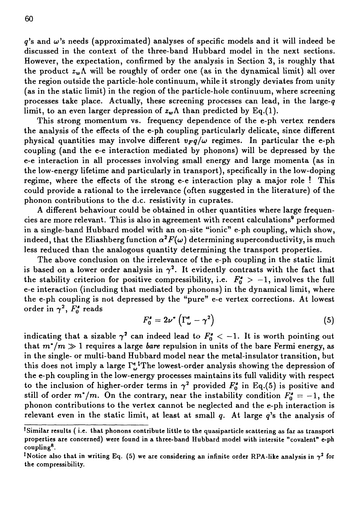$q$ 's and  $\omega$ 's needs (approximated) analyses of specific models and it will indeed be discussed in the context of the three-band Hubbard model in the next sections. However, the expectation, confirmed by the analysis in Section 3, is roughly that the product  $z_w \Lambda$  will be roughly of order one (as in the dynamical limit) all over the region outside the particle-hole continuum, while it strongly deviates from unity (as in the static limit) in the region of the particle-hole continuum, where screening processes take place. Actually, these screening processes can lead, in the large-g limit, to an even larger depression of  $z_w \Lambda$  than predicted by Eq.(1).

This strong momentum vs. frequency dependence of the e-ph vertex renders the analysis of the effects of the e-ph coupling particularly delicate, since different physical quantities may involve different  $v_Fq/\omega$  regimes. In particular the e-ph coupling (and the e-e interaction mediated by phonons) will be depressed by the e-e interaction in all processes involving small energy and large momenta (as in the low-energy lifetime and particularly in transport), specifically in the low-doping regime, where the effects of the strong e-e interaction play a major role  $!$  This could provide a rational to the irrelevance (often suggested in the literature) of the phonon contributions to the d.c. resistivity in cuprates.

A different behaviour could be obtained in other quantities where large frequencies are more relevant. This is also in agreement with recent calculations $^{\overline{9}}$  performed in a single-band Hubbard model with an on-site "ionic" e-ph coupling, which show, indeed, that the Eliashberg function  $\alpha^2F(\omega)$  determining superconductivity, is much less reduced than the analogous quantity determining the transport properties.

The above conclusion on the irrelevance of the e-ph coupling in the static limit is based on a lower order analysis in  $\gamma^2$ . It evidently contrasts with the fact that the stability criterion for positive compressibility, i.e.  $F_0^* > -1$ , involves the full e-e interaction (including that mediated by phonons) in the dynamical limit, where the e-ph coupling is not depressed by the "pure" e-e vertex corrections. At lowest order in  $\gamma^2$ ,  $\bar{F}_0^s$  reads

$$
F_0^{\prime} = 2\nu^* \left( \Gamma_{\omega}^e - \gamma^2 \right) \tag{5}
$$

indicating that a sizable  $\gamma^2$  can indeed lead to  $F_0$ <sup> $\epsilon$ </sup>  $<$  -1. It is worth pointing out that  $m^*/m \gg 1$  requires a large *bare* repulsion in units of the bare Fermi energy, as in the single- or multi-band Hubbard model near the metal-insulator transition, but this does not imply a large  $\Gamma_{\omega}^{\epsilon}$ <sup>t</sup>The lowest-order analysis showing the depression of the e-ph coupling in the low-energy processes maintains its full validity with respect to the inclusion of higher-order terms in  $\gamma^2$  provided  $F_0'$  in Eq.(5) is positive and still of order  $m^*/m$ . On the contrary, near the instability condition  $F_0' = -1$ , the phonon contributions to the vertex cannot be neglected and the e-ph interaction is relevant even in the static limit, at least at small *q.* At large g's the analysis of

<sup>&#</sup>x27;Similar results ( i.e. that phonons contribute little to the quasiparticle scattering as far as transport properties are concerned) were found in a three-band Hubbard model with intersite "covalent" e-ph coupling<sup>8</sup> .

<sup>&</sup>lt;sup>t</sup>Notice also that in writing Eq. (5) we are considering an infinite order RPA-like analysis in  $\gamma^2$  for the compressibility.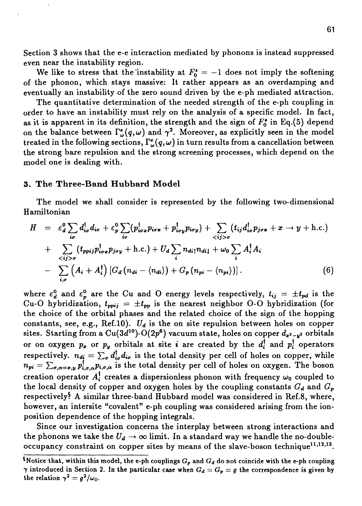Section 3 shows that the e-e interaction mediated by phonons is instead suppressed even near the instability region.

We like to stress that the instability at  $F_0^* = -1$  does not imply the softening of the phonon, which stays massive: It rather appears as an overdamping and eventually an instability of the zero sound driven by the e-ph mediated attraction.

The quantitative determination of the needed strength of the e-ph coupling in order to have an instability must rely on the analysis of a specific model. In fact, as it is apparent in its definition, the strength and the sign of  $F_0^{\bullet}$  in Eq.(5) depend on the balance between  $\Gamma_{\omega}^{\epsilon}(q,\omega)$  and  $\gamma^{2}$ . Moreover, as explicitly seen in the model treated in the following sections,  $\Gamma_{\omega}^{\epsilon}(q,\omega)$  in turn results from a cancellation between the strong bare repulsion and the strong screening processes, which depend on the model one is dealing with.

### **3. The Three-Band Hubbard Model**

The model we shall consider is represented by the following two-dimensional Hamiltonian

$$
H = \varepsilon_d^0 \sum_{i\sigma} d_{i\sigma}^\dagger d_{i\sigma} + \varepsilon_p^0 \sum_{i\sigma} (p_{i\sigma x}^\dagger p_{i\sigma x} + p_{i\sigma y}^\dagger p_{i\sigma y}) + \sum_{j>\sigma} (t_{ij} d_{i\sigma}^\dagger p_{j\sigma x} + x \rightarrow y + \text{h.c.})
$$
  
+ 
$$
\sum_{j>\sigma} (t_{ppij} p_{i\sigma x}^\dagger p_{j\sigma y} + \text{h.c.}) + U_d \sum_{i} n_{di\uparrow} n_{di\downarrow} + \omega_0 \sum_{i} A_i^\dagger A_i
$$
  
- 
$$
\sum_{i,\sigma} (A_i + A_i^\dagger) [G_d (n_{di} - \langle n_{di} \rangle) + G_p (n_{pi} - \langle n_{pi} \rangle)]. \tag{6}
$$

where  $\varepsilon_d^0$  and  $\varepsilon_p^0$  are the Cu and O energy levels respectively,  $t_{ij} = \pm t_{pd}$  is the Cu-O hybridization,  $t_{\text{ppij}} = \pm t_{\text{pp}}$  is the nearest neighbor O-O hybridization (for the choice of the orbital phases and the related choice of the sign of the hopping constants, see, e.g., Ref.10). *Ud* is the on site repulsion between holes on copper sites. Starting from a  ${\rm Cu}(3d^{10})\text{-}{\rm O}(2p^6)$  vacuum state, holes on copper  $d_{\bm{x^2-y^2}}$  orbitals or on oxygen  $p_x$  or  $p_y$  orbitals at site *i* are created by the  $d_i^{\dagger}$  and  $p_i^{\dagger}$  operators respectively.  $n_{d} = \sum_{\sigma} d^{\dagger}_{i\sigma} d_{i\sigma}$  is the total density per cell of holes on copper, while  $n_{pi} = \sum_{\sigma,\alpha=x,y} p_{i,\sigma,\alpha}^{\dagger} p_{i,\sigma,\alpha}$  is the total density per cell of holes on oxygen. The boson creation operator  $A_i^{\dagger}$  creates a dispersionless phonon with frequency  $\omega_0$  coupled to the local density of copper and oxygen holes by the coupling constants  $G_d$  and  $G_p$ respectively? A similar three-band Hubbard model was considered in Ref.8, where, however, an intersite "covalent" e-ph coupling was considered arising from the ionposition dependence of the hopping integrals.

Since our investigation concerns the interplay between strong interactions and the phonons we take the  $U_d \rightarrow \infty$  limit. In a standard way we handle the no-doubleoccupancy constraint on copper sites by means of the slave-boson technique $^{11,12,13}.$ 

<sup>&</sup>lt;sup>5</sup> Notice that, within this model, the e-ph couplings  $G_p$  and  $G_d$  do not coincide with the e-ph coupling  $\gamma$  introduced in Section 2. In the particular case when  $G_d = G_p = g$  the correspondence is given by the relation  $\gamma^2 = g^2/\omega_0$ .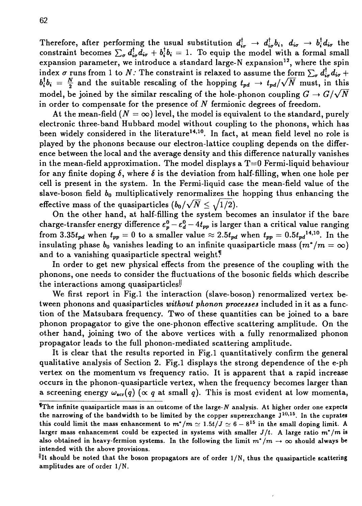Therefore, after performing the usual substitution  $d_{i\sigma}^{\dagger} \rightarrow d_{i\sigma}^{\dagger} b_i$ ,  $d_{i\sigma} \rightarrow b_i^{\dagger} d_{i\sigma}$  the constraint becomes  $\sum_{\sigma} d_{i\sigma}^{\dagger} d_{i\sigma} + b_{i}^{\dagger} b_{i} = 1$ . To equip the model with a formal small expansion parameter, we introduce a standard large-N expansion<sup>12</sup>, where the spin index  $\sigma$  runs from 1 to N: The constraint is relaxed to assume the form  $\sum_{\sigma} d_{i\sigma}^{\dagger} d_{i\sigma}$  +  $b_i^{\dagger}b_i = \frac{N}{2}$  and the suitable rescaling of the hopping  $t_{pd} \rightarrow t_{pd}/\sqrt{N}$  must, in this model, be joined by the similar rescaling of the hole-phonon coupling  $G \to G/\sqrt{N}$ in order to compensate for the presence of *N* fermionic degrees of freedom.

At the mean-field  $(N = \infty)$  level, the model is equivalent to the standard, purely electronic three-band Hubbard model without coupling to the phonons, which has been widely considered in the literature<sup>14,10</sup>. In fact, at mean field level no role is played by the phonons because our electron-lattice coupling depends on the difference between the local and the average density and this difference naturally vanishes in the mean-field approximation. The model displays a  $T=0$  Fermi-liquid behaviour for any finite doping  $\delta$ , where  $\delta$  is the deviation from half-filling, when one hole per cell is present in the system. In the Fermi-liquid case the mean-field value of the slave-boson field *bo* multiplicatively renormalizes the hopping thus enhancing the effective mass of the quasiparticles  $(b_0/\sqrt{N} \leq \sqrt{1/2})$ .

On the other hand, at half-filling the system becomes an insulator if the bare charge-transfer energy difference  $\epsilon_p^0 - \epsilon_d^0 - 4t_{pp}$  is larger than a critical value ranging from 3.35 $t_{pd}$  when  $t_{pp} = 0$  to a smaller value  $\approx 2.5t_{pd}$  when  $t_{pp} = 0.5t_{pd}^{14,10}$ . In the insulating phase  $b_0$  vanishes leading to an infinite quasiparticle mass  $(m^*/m = \infty)$ and to a vanishing quasiparticle spectral weight!

In order to get new physical effects from the presence of the coupling with the phonons, one needs to consider the fluctuations of the bosonic fields which describe the interactions among quasiparticles!

We first report in Fig.l the interaction (slave-boson) renormalized vertex between phonons and quasiparticles *without phonon processes* included in it as a function of the Matsubara frequency. Two of these quantities can be joined to a bare phonon propagator to give the one-phonon effective scattering amplitude. On the other hand, joining two of the above vertices with a fully renormalized phonon propagator leads to the full phonon-mediated scattering amplitude.

It is clear that the results reported in Fig.l quantitatively confirm the general qualitative analysis of Section 2. Fig.l displays the strong dependence of the e-ph vertex on the momentum vs frequency ratio. It is apparent that a rapid increase occurs in the phonon-quasiparticle vertex, when the frequency becomes larger than a screening energy  $\omega_{scr}(q)$  ( $\propto q$  at small q). This is most evident at low momenta,

<sup>&#</sup>x27;The infinite quasiparticle mass is an outcome of the large-*N* analysis. At higher order one expects the narrowing of the bandwidth to be limited by the copper superexchange  $J^{10,15}$ . In the cuprates this could limit the mass enhancement to  $m^*/m \simeq 1.5t/J \simeq 6 - 8^{15}$  in the small doping limit. A larger mass enhancement could be expected in systems with smaller  $J/t$ . A large ratio  $m^*/m$  is also obtained in heavy-fermion systems. In the following the limit  $m^*/m \to \infty$  should always be intended with the above provisions.

<sup>&</sup>lt;sup>||</sup>It should be noted that the boson propagators are of order  $1/N$ , thus the quasiparticle scattering amplitudes are of order 1/N.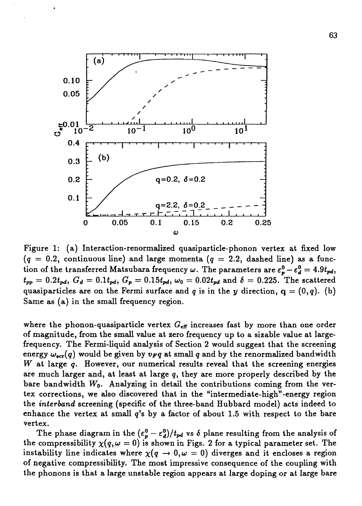

Figure 1: (a) Interaction-renormalized quasiparticle-phonon vertex at fixed low  $(q = 0.2,$  continuous line) and large momenta  $(q = 2.2,$  dashed line) as a function of the transferred Matsubara frequency  $\omega$ . The parameters are  $\varepsilon_p^0 - \varepsilon_d^0 = 4.9 t_{pd}$ ,  $t_{pp} = 0.2t_{pd}$ ,  $G_d = 0.1t_{pd}$ ,  $G_p = 0.15t_{pd}$ ,  $\omega_0 = 0.02t_{pd}$  and  $\delta = 0.225$ . The scattered quasiparticles are on the Fermi surface and q is in the y direction,  $q = (0, q)$ . (b) Same as (a) in the small frequency region.

where the phonon-quasiparticle vertex  $G_{\text{eff}}$  increases fast by more than one order of magnitude, from the small value at zero frequency up to a sizable value at largefrequency. The Fermi-liquid analysis of Section 2 would suggest that the screening energy  $\omega_{scr}(q)$  would be given by  $v_Fq$  at small q and by the renormalized bandwidth *W* at large *q.* However, our numerical results reveal that the screening energies are much larger and, at least at large g, they are more properly described by the bare bandwidth  $W_0$ . Analyzing in detail the contributions coming from the vertex corrections, we also discovered that in the "intermediate-high"-energy region the *interband* screening (specific of the three-band Hubbard model) acts indeed to enhance the vertex at small  $q$ 's by a factor of about 1.5 with respect to the bare vertex.

The phase diagram in the  $(\epsilon_p^0 - \epsilon_d^0)/t_{pd}$  vs  $\delta$  plane resulting from the analysis of the compressibility  $\chi(q,\omega=0)$  is shown in Figs. 2 for a typical parameter set. The instability line indicates where  $\chi(q \to 0,\omega = 0)$  diverges and it encloses a region of negative compressibility. The most impressive consequence of the coupling with the phonons is that a large unstable region appears at large doping or at large bare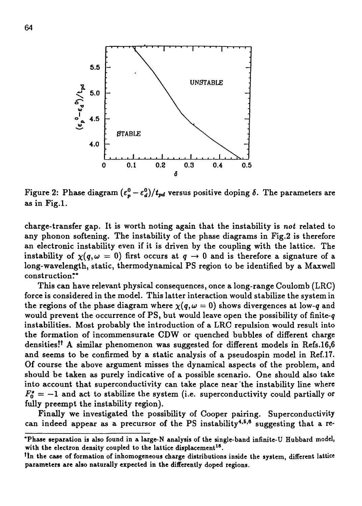

Figure 2: Phase diagram  $(\epsilon_p^0 - \epsilon_d^0)/t_{pd}$  versus positive doping  $\delta$ . The parameters are as in Fig.l.

charge-transfer gap. It is worth noting again that the instability is *not* related to any phonon softening. The instability of the phase diagrams in Fig.2 is therefore an electronic instability even if it is driven by the coupling with the lattice. The instability of  $\chi(q,\omega=0)$  first occurs at  $q \to 0$  and is therefore a signature of a long-wavelength, static, thermodynamical PS region to be identified by a Maxwell construction?\*

This can have relevant physical consequences, once a long-range Coulomb (LRC) force is considered in the model. This latter interaction would stabilize the system in the regions of the phase diagram where  $\chi(q,\omega=0)$  shows divergences at low-q and would prevent the occurrence of PS, but would leave open the possibility of finite-g instabilities. Most probably the introduction of a LRC repulsion would result into the formation of incommensurate CDW or quenched bubbles of different charge densities!<sup>†</sup> A similar phenomenon was suggested for different models in Refs.16,6 and seems to be confirmed by a static analysis of a pseudospin model in Ref.17. Of course the above argument misses the dynamical aspects of the problem, and should be taken as purely indicative of a possible scenario. One should also take into account that superconductivity can take place near the instability line where  $F_0' = -1$  and act to stabilize the system (i.e. superconductivity could partially or fully preempt the instability region).

Finally we investigated the possibility of Cooper pairing. Superconductivity can indeed appear as a precursor of the PS instability<sup>4,5,6</sup> suggesting that a re-

**<sup>\*</sup> Phase separation is also found in a large-N analysis of the single-band infinite-U Hubbard model, with the electron density coupled to the lattice displacement<sup>18</sup> .**

**<sup>\*</sup>ln the case of formation of inhomogeneous charge distributions inside the system, different lattice parameters are also naturally expected in the differently doped regions.**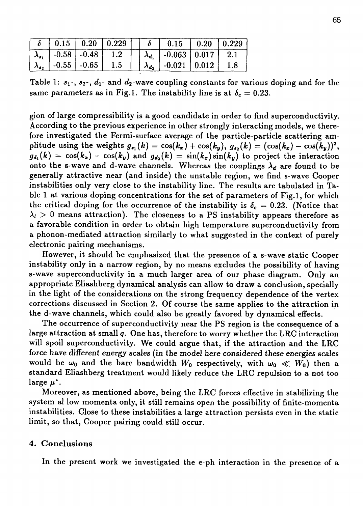|  |                                           |  | $\left[\begin{array}{c c} 0.15 & 0.20 & 0.229 \end{array}\right]$ $\left[\begin{array}{c c} 6 & 0.15 & 0.20 & 0.229 \end{array}\right]$ |  |
|--|-------------------------------------------|--|-----------------------------------------------------------------------------------------------------------------------------------------|--|
|  | $\lambda_{s_1}$   -0.58   -0.48   1.2     |  | $\lambda_{d_1}$   -0.063   0.017   2.1                                                                                                  |  |
|  | $\lambda_{\bullet}$   -0.55   -0.65   1.5 |  | $\lambda_{d_2}$   -0.021   0.012   1.8                                                                                                  |  |

Table 1:  $s_1$ -,  $s_2$ -,  $d_1$ - and  $d_2$ -wave coupling constants for various doping and for the same parameters as in Fig.1. The instability line is at  $\delta_c = 0.23$ .

gion of large compressibility is a good candidate in order to find superconductivity. According to the previous experience in other strongly interacting models, we therefore investigated the Fermi-surface average of the particle-particle scattering amplitude using the weights  $g_{\boldsymbol{s}_1}(k) = \cos(k_x) + \cos(k_y),\ g_{\boldsymbol{s}_2}(k) = (\cos(k_x) - \cos(k_y))^2,$  $g_{d_1}(k) = \cos(k_x) - \cos(k_y)$  and  $g_{d_2}(k) = \sin(k_x)\sin(k_y)$  to project the interaction onto the s-wave and d-wave channels. Whereas the couplings  $\lambda_d$  are found to be generally attractive near (and inside) the unstable region, we find s-wave Cooper instabilities only very close to the instability line. The results are tabulated in Table 1 at various doping concentrations for the set of parameters of Fig.l, for which the critical doping for the occurrence of the instability is  $\delta_c = 0.23$ . (Notice that  $\lambda_l > 0$  means attraction). The closeness to a PS instability appears therefore as a favorable condition in order to obtain high temperature superconductivity from a phonon-mediated attraction similarly to what suggested in the context of purely electronic pairing mechanisms.

However, it should be emphasized that the presence of a s-wave static Cooper instability only in a narrow region, by no means excludes the possibility of having s-wave superconductivity in a much larger area of our phase diagram. Only an appropriate Eliashberg dynamical analysis can allow to draw a conclusion, specially in the light of the considerations on the strong frequency dependence of the vertex corrections discussed in Section 2. Of course the same applies to the attraction in the d-wave channels, which could also be greatly favored by dynamical effects.

The occurrence of superconductivity near the PS region is the consequence of a large attraction at small *q.* One has, therefore to worry whether the LRC interaction will spoil superconductivity. We could argue that, if the attraction and the LRC force have different energy scales (in the model here considered these energies scales would be  $\omega_0$  and the bare bandwidth  $W_0$  respectively, with  $\omega_0 \ll W_0$  then a standard Eliashberg treatment would likely reduce the LRC repulsion to a not too  $large \mu^*$ .

Moreover, as mentioned above, being the LRC forces effective in stabilizing the system al low momenta only, it still remains open the possibility of finite-momenta instabilities. Close to these instabilities a large attraction persists even in the static limit, so that, Cooper pairing could still occur.

# 4. Conclusions

In the present work we investigated the e-ph interaction in the presence of a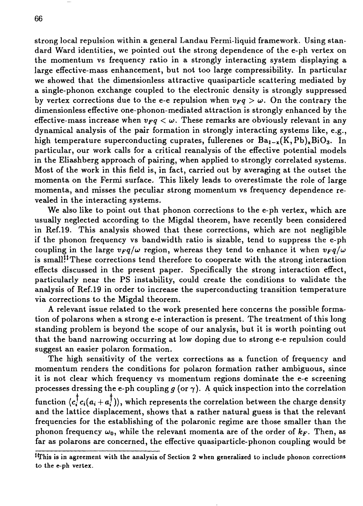strong local repulsion within a general Landau Fermi-liquid framework. Using standard Ward identities, we pointed out the strong dependence of the e-ph vertex on the momentum vs frequency ratio in a strongly interacting system displaying a large effective-mass enhancement, but not too large compressibility. In particular we showed that the dimensionless attractive quasiparticle scattering mediated by a single-phonon exchange coupled to the electronic density is strongly suppressed by vertex corrections due to the e-e repulsion when  $v_Fq > w$ . On the contrary the dimensionless effective one-phonon-mediated attraction is strongly enhanced by the effective-mass increase when  $v_Fq < \omega$ . These remarks are obviously relevant in any dynamical analysis of the pair formation in strongly interacting systems like, e.g., high temperature superconducting cuprates, fullerenes or  $Ba_{1-x}(K,Pb)_xBiO_3$ . In particular, our work calls for a critical reanalysis of the effective potential models in the Eliashberg approach of pairing, when applied to strongly correlated systems. Most of the work in this field is, in fact, carried out by averaging at the outset the momenta on the Fermi surface. This likely leads to overestimate the role of large momenta, and misses the peculiar strong momentum vs frequency dependence revealed in the interacting systems.

We also like to point out that phonon corrections to the e-ph vertex, which are usually neglected according to the Migdal theorem, have recently been considered in Ref.19. This analysis showed that these corrections, which are not negligible if the phonon frequency vs bandwidth ratio is sizable, tend to suppress the e-ph coupling in the large  $v_Fq/\omega$  region, whereas they tend to enhance it when  $v_Fq/\omega$ is small!<sup>!!</sup>These corrections tend therefore to cooperate with the strong interaction effects discussed in the present paper. Specifically the strong interaction effect, particularly near the PS instability, could create the conditions to validate the analysis of Ref.19 in order to increase the superconducting transition temperature via corrections to the Migdal theorem.

A relevant issue related to the work presented here concerns the possible formation of polarons when a strong e-e interaction is present. The treatment of this long standing problem is beyond the scope of our analysis, but it is worth pointing out that the band narrowing occurring at low doping due to strong e-e repulsion could suggest an easier polaron formation.

The high sensitivity of the vertex corrections as a function of frequency and momentum renders the conditions for polaron formation rather ambiguous, since it is not clear which frequency vs momentum regions dominate the e-e screening processes dressing the e-ph coupling  $g$  (or  $\gamma$ ). A quick inspection into the correlation function  $\langle c_i^\dagger c_i(a_i+a_i^\dagger) \rangle$ , which represents the correlation between the charge density and the lattice displacement, shows that a rather natural guess is that the relevant frequencies for the establishing of the polaronic regime are those smaller than the phonon frequency  $\omega_0$ , while the relevant momenta are of the order of  $k_F$ . Then, as far as polarons are concerned, the effective quasiparticle-phonon coupling would be

is in agreement with the analysis of Section 2 when generalized to include phonon corrections to the e-ph vertex.